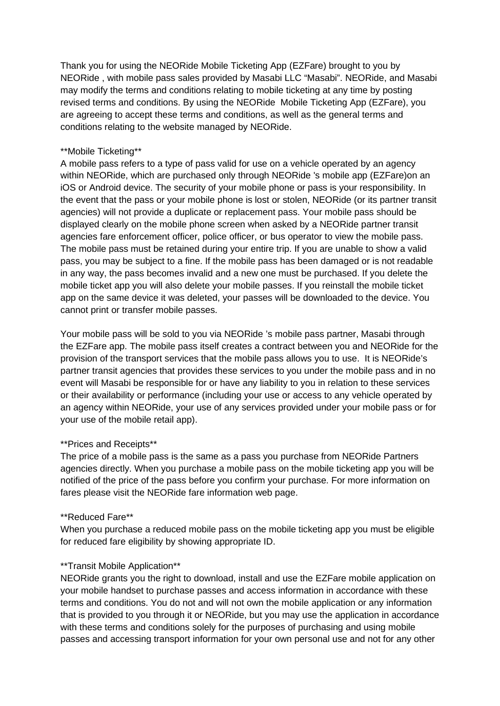Thank you for using the NEORide Mobile Ticketing App (EZFare) brought to you by NEORide , with mobile pass sales provided by Masabi LLC "Masabi". NEORide, and Masabi may modify the terms and conditions relating to mobile ticketing at any time by posting revised terms and conditions. By using the NEORide Mobile Ticketing App (EZFare), you are agreeing to accept these terms and conditions, as well as the general terms and conditions relating to the website managed by NEORide.

# \*\*Mobile Ticketing\*\*

A mobile pass refers to a type of pass valid for use on a vehicle operated by an agency within NEORide, which are purchased only through NEORide 's mobile app (EZFare)on an iOS or Android device. The security of your mobile phone or pass is your responsibility. In the event that the pass or your mobile phone is lost or stolen, NEORide (or its partner transit agencies) will not provide a duplicate or replacement pass. Your mobile pass should be displayed clearly on the mobile phone screen when asked by a NEORide partner transit agencies fare enforcement officer, police officer, or bus operator to view the mobile pass. The mobile pass must be retained during your entire trip. If you are unable to show a valid pass, you may be subject to a fine. If the mobile pass has been damaged or is not readable in any way, the pass becomes invalid and a new one must be purchased. If you delete the mobile ticket app you will also delete your mobile passes. If you reinstall the mobile ticket app on the same device it was deleted, your passes will be downloaded to the device. You cannot print or transfer mobile passes.

Your mobile pass will be sold to you via NEORide 's mobile pass partner, Masabi through the EZFare app. The mobile pass itself creates a contract between you and NEORide for the provision of the transport services that the mobile pass allows you to use. It is NEORide's partner transit agencies that provides these services to you under the mobile pass and in no event will Masabi be responsible for or have any liability to you in relation to these services or their availability or performance (including your use or access to any vehicle operated by an agency within NEORide, your use of any services provided under your mobile pass or for your use of the mobile retail app).

### \*\*Prices and Receipts\*\*

The price of a mobile pass is the same as a pass you purchase from NEORide Partners agencies directly. When you purchase a mobile pass on the mobile ticketing app you will be notified of the price of the pass before you confirm your purchase. For more information on fares please visit the NEORide fare information web page.

### \*\*Reduced Fare\*\*

When you purchase a reduced mobile pass on the mobile ticketing app you must be eligible for reduced fare eligibility by showing appropriate ID.

# \*\*Transit Mobile Application\*\*

NEORide grants you the right to download, install and use the EZFare mobile application on your mobile handset to purchase passes and access information in accordance with these terms and conditions. You do not and will not own the mobile application or any information that is provided to you through it or NEORide, but you may use the application in accordance with these terms and conditions solely for the purposes of purchasing and using mobile passes and accessing transport information for your own personal use and not for any other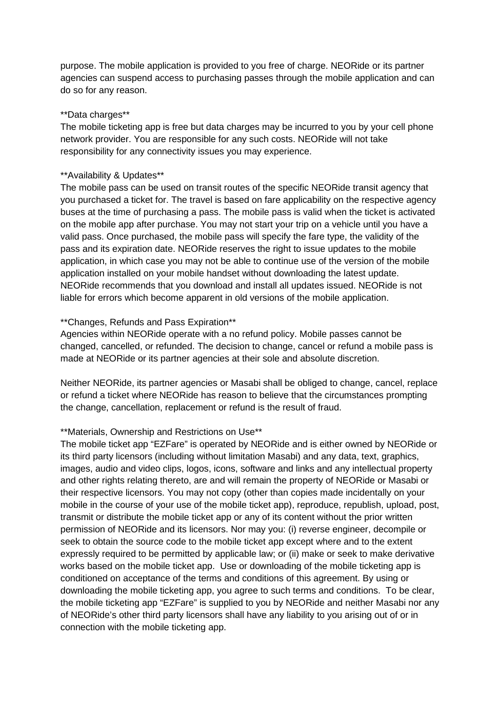purpose. The mobile application is provided to you free of charge. NEORide or its partner agencies can suspend access to purchasing passes through the mobile application and can do so for any reason.

### \*\*Data charges\*\*

The mobile ticketing app is free but data charges may be incurred to you by your cell phone network provider. You are responsible for any such costs. NEORide will not take responsibility for any connectivity issues you may experience.

# \*\*Availability & Updates\*\*

The mobile pass can be used on transit routes of the specific NEORide transit agency that you purchased a ticket for. The travel is based on fare applicability on the respective agency buses at the time of purchasing a pass. The mobile pass is valid when the ticket is activated on the mobile app after purchase. You may not start your trip on a vehicle until you have a valid pass. Once purchased, the mobile pass will specify the fare type, the validity of the pass and its expiration date. NEORide reserves the right to issue updates to the mobile application, in which case you may not be able to continue use of the version of the mobile application installed on your mobile handset without downloading the latest update. NEORide recommends that you download and install all updates issued. NEORide is not liable for errors which become apparent in old versions of the mobile application.

# \*\*Changes, Refunds and Pass Expiration\*\*

Agencies within NEORide operate with a no refund policy. Mobile passes cannot be changed, cancelled, or refunded. The decision to change, cancel or refund a mobile pass is made at NEORide or its partner agencies at their sole and absolute discretion.

Neither NEORide, its partner agencies or Masabi shall be obliged to change, cancel, replace or refund a ticket where NEORide has reason to believe that the circumstances prompting the change, cancellation, replacement or refund is the result of fraud.

# \*\*Materials, Ownership and Restrictions on Use\*\*

The mobile ticket app "EZFare" is operated by NEORide and is either owned by NEORide or its third party licensors (including without limitation Masabi) and any data, text, graphics, images, audio and video clips, logos, icons, software and links and any intellectual property and other rights relating thereto, are and will remain the property of NEORide or Masabi or their respective licensors. You may not copy (other than copies made incidentally on your mobile in the course of your use of the mobile ticket app), reproduce, republish, upload, post, transmit or distribute the mobile ticket app or any of its content without the prior written permission of NEORide and its licensors. Nor may you: (i) reverse engineer, decompile or seek to obtain the source code to the mobile ticket app except where and to the extent expressly required to be permitted by applicable law; or (ii) make or seek to make derivative works based on the mobile ticket app. Use or downloading of the mobile ticketing app is conditioned on acceptance of the terms and conditions of this agreement. By using or downloading the mobile ticketing app, you agree to such terms and conditions. To be clear, the mobile ticketing app "EZFare" is supplied to you by NEORide and neither Masabi nor any of NEORide's other third party licensors shall have any liability to you arising out of or in connection with the mobile ticketing app.